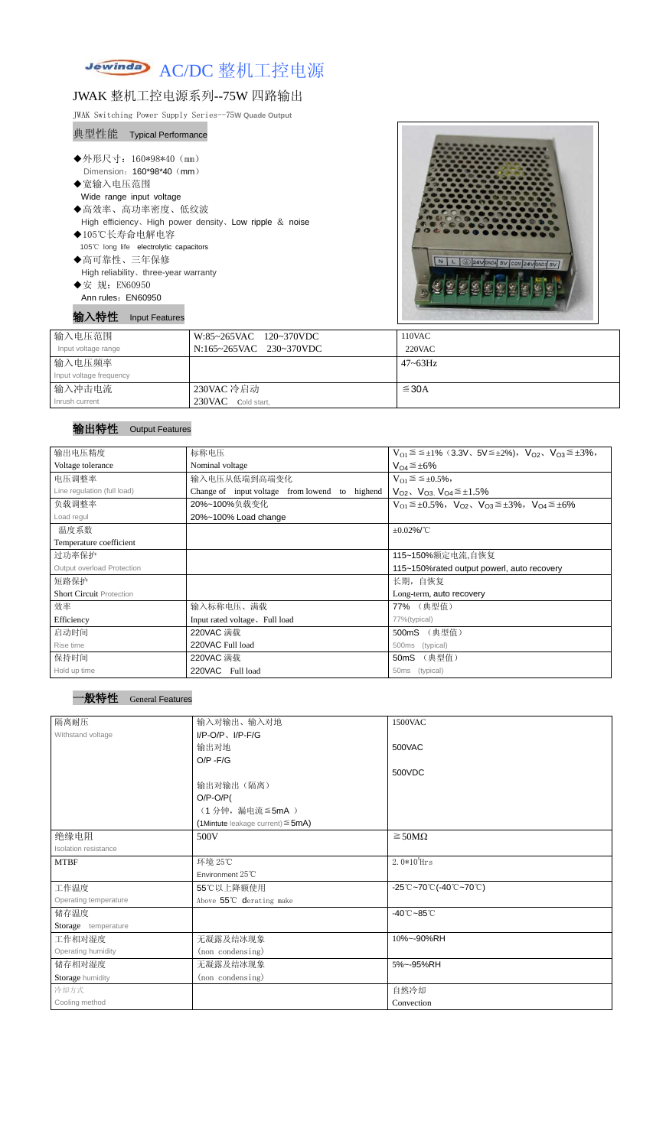

# JWAK 整机工控电源系列--75W 四路输出

JWAK Switching Power Supply Series--75**W Quade Output**

## 典型性能 Typical Performance

- ◆高可靠性、三年保修 High reliability、three-year warranty ◆安 规: EN60950
- Ann rules: EN60950

| ◆外形尺寸: 160*98*40 (mm)                                      |  |
|------------------------------------------------------------|--|
| Dimension: 160*98*40 (mm)                                  |  |
| ◆宽输入电压范围                                                   |  |
| Wide range input voltage                                   |  |
| ◆高效率、高功率密度、低纹波                                             |  |
| High efficiency, High power density, Low ripple $\&$ noise |  |
| ◆105℃长寿命电解电容                                               |  |
| 105°C long life electrolytic capacitors                    |  |

输入特性 Input Features



| 输入电压范围                  | W:85~265VAC 120~370VDC  | 110VAC       |
|-------------------------|-------------------------|--------------|
| Input voltage range     | N:165~265VAC 230~370VDC | 220VAC       |
| 输入电压频率                  |                         | $47 - 63$ Hz |
| Input voltage frequency |                         |              |
| 输入冲击电流                  | 230VAC 冷启动              | ≤30A         |
| Inrush current          | 230VAC Cold start,      |              |

## 输出特性 Output Features

| 输出电压精度                          | 标称电压                                                 | $V_{O1} \leq \leq \pm 1\%$ (3.3V, 5V $\leq \pm 2\%$ ), $V_{O2}$ , $V_{O3} \leq \pm 3\%$ , |  |  |
|---------------------------------|------------------------------------------------------|-------------------------------------------------------------------------------------------|--|--|
| Voltage tolerance               | Nominal voltage                                      | $V_{O4} \leq \pm 6\%$                                                                     |  |  |
| 电压调整率                           | 输入电压从低端到高端变化                                         | $V_{O1} \leq \leq \pm 0.5\%,$                                                             |  |  |
| Line regulation (full load)     | Change of input voltage<br>from lowend to<br>highend | $V_{O2}$ , $V_{O3}$ , $V_{O4} \leq \pm 1.5\%$                                             |  |  |
| 负载调整率                           | 20%~100%负载变化                                         | $V_{O1} \leq \pm 0.5\%$ , $V_{O2}$ , $V_{O3} \leq \pm 3\%$ , $V_{O4} \leq \pm 6\%$        |  |  |
| Load regul                      | 20%~100% Load change                                 |                                                                                           |  |  |
| 温度系数                            |                                                      | $\pm 0.02\%$ /°C                                                                          |  |  |
| Temperature coefficient         |                                                      |                                                                                           |  |  |
| 过功率保护                           |                                                      | 115~150%额定电流,自恢复                                                                          |  |  |
| Output overload Protection      |                                                      | 115~150% rated output powerl, auto recovery                                               |  |  |
| 短路保护                            |                                                      | 长期, 自恢复                                                                                   |  |  |
| <b>Short Circuit Protection</b> |                                                      | Long-term, auto recovery                                                                  |  |  |
| 效率                              | 输入标称电压、满载                                            | 77% (典型值)                                                                                 |  |  |
| Efficiency                      | Input rated voltage, Full load                       | 77%(typical)                                                                              |  |  |
| 启动时间                            | 220VAC 满载                                            | (典型值)<br>500mS                                                                            |  |  |
| Rise time                       | 220VAC Full load                                     | (typical)<br>500 <sub>ms</sub>                                                            |  |  |
| 保持时间                            | 220VAC 满载                                            | 50mS (典型值)                                                                                |  |  |
| Hold up time                    | 220VAC Full load                                     | (typical)<br>50ms                                                                         |  |  |

#### ·般特性 General Features

| 隔离耐压                  | 输入对输出、输入对地                                | 1500VAC                         |
|-----------------------|-------------------------------------------|---------------------------------|
| Withstand voltage     | $I/P-O/P$ , $I/P-F/G$                     |                                 |
|                       | 输出对地                                      | 500VAC                          |
|                       | $O/P - F/G$                               |                                 |
|                       |                                           | 500VDC                          |
|                       | 输出对输出(隔离)                                 |                                 |
|                       | $O/P-O/P($                                |                                 |
|                       | (1分钟,漏电流≦5mA)                             |                                 |
|                       | $(1$ Mintute leakage current) $\leq$ 5mA) |                                 |
| 绝缘电阻                  | 500V                                      | $\geq$ 50M $\Omega$             |
| Isolation resistance  |                                           |                                 |
| <b>MTBF</b>           | 环境 25℃                                    | $2.0*105$ Hrs                   |
|                       | Environment 25°C                          |                                 |
| 工作温度                  | 55℃以上降额使用                                 | -25℃~70℃(-40℃~70℃)              |
| Operating temperature | Above 55°C derating make                  |                                 |
| 储存温度                  |                                           | $-40^{\circ}$ C $-85^{\circ}$ C |
| Storage temperature   |                                           |                                 |
| 工作相对湿度                | 无凝露及结冰现象                                  | 10%~-90%RH                      |
| Operating humidity    | (non condensing)                          |                                 |
| 储存相对湿度                | 无凝露及结冰现象                                  | 5%~-95%RH                       |
| Storage humidity      | (non condensing)                          |                                 |
| 冷却方式                  |                                           | 自然冷却                            |
| Cooling method        |                                           | Convection                      |